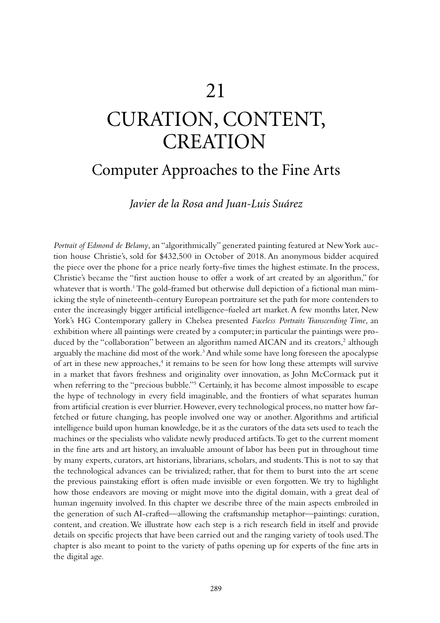# CURATION, CONTENT, **CREATION**

# Computer Approaches to the Fine Arts

*Javier de la Rosa and Juan-Luis Suárez*

*Portrait of Edmond de Belamy*, an "algorithmically" generated painting featured at New York auction house Christie's, sold for \$432,500 in October of 2018. An anonymous bidder acquired the piece over the phone for a price nearly forty-five times the highest estimate. In the process, Christie's became the "first auction house to offer a work of art created by an algorithm," for whatever that is worth.<sup>1</sup> The gold-framed but otherwise dull depiction of a fictional man mimicking the style of nineteenth-century European portraiture set the path for more contenders to enter the increasingly bigger artificial intelligence–fueled art market. A few months later, New York's HG Contemporary gallery in Chelsea presented *Faceless Portraits Transcending Time*, an exhibition where all paintings were created by a computer; in particular the paintings were produced by the "collaboration" between an algorithm named AICAN and its creators,<sup>2</sup> although arguably the machine did most of the work.<sup>3</sup> And while some have long foreseen the apocalypse of art in these new approaches,<sup>4</sup> it remains to be seen for how long these attempts will survive in a market that favors freshness and originality over innovation, as John McCormack put it when referring to the "precious bubble."<sup>5</sup> Certainly, it has become almost impossible to escape the hype of technology in every field imaginable, and the frontiers of what separates human from artificial creation is ever blurrier. However, every technological process, no matter how farfetched or future changing, has people involved one way or another. Algorithms and artificial intelligence build upon human knowledge, be it as the curators of the data sets used to teach the machines or the specialists who validate newly produced artifacts. To get to the current moment in the fine arts and art history, an invaluable amount of labor has been put in throughout time by many experts, curators, art historians, librarians, scholars, and students. This is not to say that the technological advances can be trivialized; rather, that for them to burst into the art scene the previous painstaking effort is often made invisible or even forgotten. We try to highlight how those endeavors are moving or might move into the digital domain, with a great deal of human ingenuity involved. In this chapter we describe three of the main aspects embroiled in the generation of such AI-crafted—allowing the craftsmanship metaphor—paintings: curation, content, and creation. We illustrate how each step is a rich research field in itself and provide details on specific projects that have been carried out and the ranging variety of tools used. The chapter is also meant to point to the variety of paths opening up for experts of the fine arts in the digital age.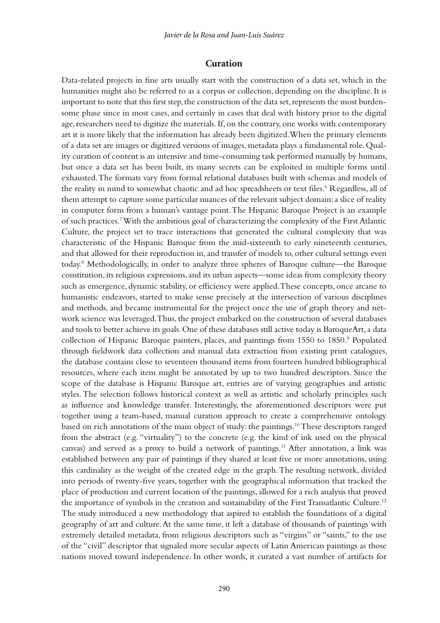## **Curation**

Data-related projects in fine arts usually start with the construction of a data set, which in the humanities might also be referred to as a corpus or collection, depending on the discipline. It is important to note that this first step, the construction of the data set, represents the most burdensome phase since in most cases, and certainly in cases that deal with history prior to the digital age, researchers need to digitize the materials. If, on the contrary, one works with contemporary art it is more likely that the information has already been digitized. When the primary elements of a data set are images or digitized versions of images, metadata plays a fundamental role. Quality curation of content is an intensive and time-consuming task performed manually by humans, but once a data set has been built, its many secrets can be exploited in multiple forms until exhausted. The formats vary from formal relational databases built with schemas and models of the reality in mind to somewhat chaotic and ad hoc spreadsheets or text files.<sup>6</sup> Regardless, all of them attempt to capture some particular nuances of the relevant subject domain: a slice of reality in computer form from a human's vantage point. The Hispanic Baroque Project is an example of such practices.7 With the ambitious goal of characterizing the complexity of the First Atlantic Culture, the project set to trace interactions that generated the cultural complexity that was characteristic of the Hispanic Baroque from the mid-sixteenth to early nineteenth centuries, and that allowed for their reproduction in, and transfer of models to, other cultural settings even today.8 Methodologically, in order to analyze three spheres of Baroque culture—the Baroque constitution, its religious expressions, and its urban aspects—some ideas from complexity theory such as emergence, dynamic stability, or efficiency were applied. These concepts, once arcane to humanistic endeavors, started to make sense precisely at the intersection of various disciplines and methods, and became instrumental for the project once the use of graph theory and network science was leveraged. Thus, the project embarked on the construction of several databases and tools to better achieve its goals. One of these databases still active today is BaroqueArt, a data collection of Hispanic Baroque painters, places, and paintings from 1550 to 1850.<sup>9</sup> Populated through fieldwork data collection and manual data extraction from existing print catalogues, the database contains close to seventeen thousand items from fourteen hundred bibliographical resources, where each item might be annotated by up to two hundred descriptors. Since the scope of the database is Hispanic Baroque art, entries are of varying geographies and artistic styles. The selection follows historical context as well as artistic and scholarly principles such as influence and knowledge transfer. Interestingly, the aforementioned descriptors were put together using a team-based, manual curation approach to create a comprehensive ontology based on rich annotations of the main object of study: the paintings.10 These descriptors ranged from the abstract (e.g. "virtuality") to the concrete (e.g. the kind of ink used on the physical canvas) and served as a proxy to build a network of paintings.11 After annotation, a link was established between any pair of paintings if they shared at least five or more annotations, using this cardinality as the weight of the created edge in the graph. The resulting network, divided into periods of twenty-five years, together with the geographical information that tracked the place of production and current location of the paintings, allowed for a rich analysis that proved the importance of symbols in the creation and sustainability of the First Transatlantic Culture.<sup>12</sup> The study introduced a new methodology that aspired to establish the foundations of a digital geography of art and culture. At the same time, it left a database of thousands of paintings with extremely detailed metadata, from religious descriptors such as "virgins" or "saints," to the use of the "civil" descriptor that signaled more secular aspects of Latin American paintings as those nations moved toward independence. In other words, it curated a vast number of artifacts for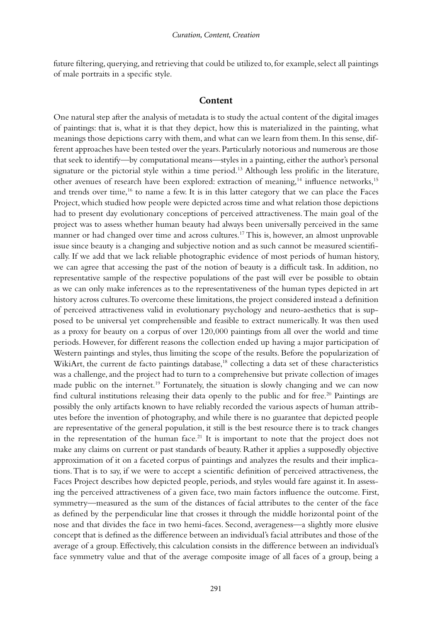future filtering, querying, and retrieving that could be utilized to, for example, select all paintings of male portraits in a specific style.

#### **Content**

One natural step after the analysis of metadata is to study the actual content of the digital images of paintings: that is, what it is that they depict, how this is materialized in the painting, what meanings those depictions carry with them, and what can we learn from them. In this sense, different approaches have been tested over the years. Particularly notorious and numerous are those that seek to identify—by computational means—styles in a painting, either the author's personal signature or the pictorial style within a time period.<sup>13</sup> Although less prolific in the literature, other avenues of research have been explored: extraction of meaning,<sup>14</sup> influence networks,<sup>15</sup> and trends over time,<sup>16</sup> to name a few. It is in this latter category that we can place the Faces Project, which studied how people were depicted across time and what relation those depictions had to present day evolutionary conceptions of perceived attractiveness. The main goal of the project was to assess whether human beauty had always been universally perceived in the same manner or had changed over time and across cultures.<sup>17</sup> This is, however, an almost unprovable issue since beauty is a changing and subjective notion and as such cannot be measured scientifically. If we add that we lack reliable photographic evidence of most periods of human history, we can agree that accessing the past of the notion of beauty is a difficult task. In addition, no representative sample of the respective populations of the past will ever be possible to obtain as we can only make inferences as to the representativeness of the human types depicted in art history across cultures. To overcome these limitations, the project considered instead a definition of perceived attractiveness valid in evolutionary psychology and neuro-aesthetics that is supposed to be universal yet comprehensible and feasible to extract numerically. It was then used as a proxy for beauty on a corpus of over 120,000 paintings from all over the world and time periods. However, for different reasons the collection ended up having a major participation of Western paintings and styles, thus limiting the scope of the results. Before the popularization of WikiArt, the current de facto paintings database,<sup>18</sup> collecting a data set of these characteristics was a challenge, and the project had to turn to a comprehensive but private collection of images made public on the internet.<sup>19</sup> Fortunately, the situation is slowly changing and we can now find cultural institutions releasing their data openly to the public and for free.<sup>20</sup> Paintings are possibly the only artifacts known to have reliably recorded the various aspects of human attributes before the invention of photography, and while there is no guarantee that depicted people are representative of the general population, it still is the best resource there is to track changes in the representation of the human face.<sup>21</sup> It is important to note that the project does not make any claims on current or past standards of beauty. Rather it applies a supposedly objective approximation of it on a faceted corpus of paintings and analyzes the results and their implications. That is to say, if we were to accept a scientific definition of perceived attractiveness, the Faces Project describes how depicted people, periods, and styles would fare against it. In assessing the perceived attractiveness of a given face, two main factors influence the outcome. First, symmetry—measured as the sum of the distances of facial attributes to the center of the face as defined by the perpendicular line that crosses it through the middle horizontal point of the nose and that divides the face in two hemi-faces. Second, averageness—a slightly more elusive concept that is defined as the difference between an individual's facial attributes and those of the average of a group. Effectively, this calculation consists in the difference between an individual's face symmetry value and that of the average composite image of all faces of a group, being a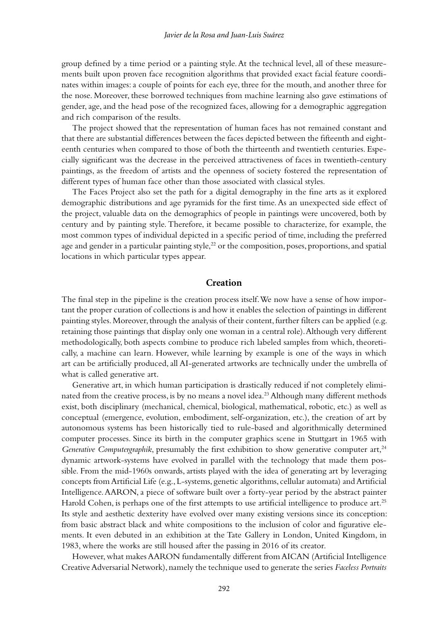group defined by a time period or a painting style. At the technical level, all of these measurements built upon proven face recognition algorithms that provided exact facial feature coordinates within images: a couple of points for each eye, three for the mouth, and another three for the nose. Moreover, these borrowed techniques from machine learning also gave estimations of gender, age, and the head pose of the recognized faces, allowing for a demographic aggregation and rich comparison of the results.

The project showed that the representation of human faces has not remained constant and that there are substantial differences between the faces depicted between the fifteenth and eighteenth centuries when compared to those of both the thirteenth and twentieth centuries. Especially significant was the decrease in the perceived attractiveness of faces in twentieth-century paintings, as the freedom of artists and the openness of society fostered the representation of different types of human face other than those associated with classical styles.

The Faces Project also set the path for a digital demography in the fine arts as it explored demographic distributions and age pyramids for the first time. As an unexpected side effect of the project, valuable data on the demographics of people in paintings were uncovered, both by century and by painting style. Therefore, it became possible to characterize, for example, the most common types of individual depicted in a specific period of time, including the preferred age and gender in a particular painting style, $^{22}$  or the composition, poses, proportions, and spatial locations in which particular types appear.

## **Creation**

The final step in the pipeline is the creation process itself. We now have a sense of how important the proper curation of collections is and how it enables the selection of paintings in different painting styles. Moreover, through the analysis of their content, further filters can be applied (e.g. retaining those paintings that display only one woman in a central role). Although very different methodologically, both aspects combine to produce rich labeled samples from which, theoretically, a machine can learn. However, while learning by example is one of the ways in which art can be artificially produced, all AI-generated artworks are technically under the umbrella of what is called generative art.

Generative art, in which human participation is drastically reduced if not completely eliminated from the creative process, is by no means a novel idea.<sup>23</sup> Although many different methods exist, both disciplinary (mechanical, chemical, biological, mathematical, robotic, etc.) as well as conceptual (emergence, evolution, embodiment, self-organization, etc.), the creation of art by autonomous systems has been historically tied to rule-based and algorithmically determined computer processes. Since its birth in the computer graphics scene in Stuttgart in 1965 with *Generative Computergraphik*, presumably the first exhibition to show generative computer art,<sup>24</sup> dynamic artwork-systems have evolved in parallel with the technology that made them possible. From the mid-1960s onwards, artists played with the idea of generating art by leveraging concepts from Artificial Life (e.g., L-systems, genetic algorithms, cellular automata) and Artificial Intelligence. AARON, a piece of software built over a forty-year period by the abstract painter Harold Cohen, is perhaps one of the first attempts to use artificial intelligence to produce art.<sup>25</sup> Its style and aesthetic dexterity have evolved over many existing versions since its conception: from basic abstract black and white compositions to the inclusion of color and figurative elements. It even debuted in an exhibition at the Tate Gallery in London, United Kingdom, in 1983, where the works are still housed after the passing in 2016 of its creator.

However, what makes AARON fundamentally different from AICAN (Artificial Intelligence Creative Adversarial Network), namely the technique used to generate the series *Faceless Portraits*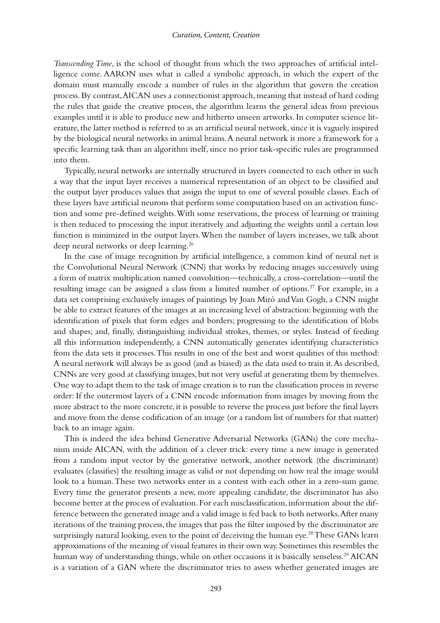*Transcending Time*, is the school of thought from which the two approaches of artificial intelligence come. AARON uses what is called a symbolic approach, in which the expert of the domain must manually encode a number of rules in the algorithm that govern the creation process. By contrast, AICAN uses a connectionist approach, meaning that instead of hard coding the rules that guide the creative process, the algorithm learns the general ideas from previous examples until it is able to produce new and hitherto unseen artworks. In computer science literature, the latter method is referred to as an artificial neural network, since it is vaguely inspired by the biological neural networks in animal brains. A neural network is more a framework for a specific learning task than an algorithm itself, since no prior task-specific rules are programmed into them.

Typically, neural networks are internally structured in layers connected to each other in such a way that the input layer receives a numerical representation of an object to be classified and the output layer produces values that assign the input to one of several possible classes. Each of these layers have artificial neurons that perform some computation based on an activation function and some pre-defined weights. With some reservations, the process of learning or training is then reduced to processing the input iteratively and adjusting the weights until a certain loss function is minimized in the output layers. When the number of layers increases, we talk about deep neural networks or deep learning.<sup>26</sup>

In the case of image recognition by artificial intelligence, a common kind of neural net is the Convolutional Neural Network (CNN) that works by reducing images successively using a form of matrix multiplication named convolution—technically, a cross-correlation—until the resulting image can be assigned a class from a limited number of options.<sup>27</sup> For example, in a data set comprising exclusively images of paintings by Joan Miró and Van Gogh, a CNN might be able to extract features of the images at an increasing level of abstraction: beginning with the identification of pixels that form edges and borders; progressing to the identification of blobs and shapes; and, finally, distinguishing individual strokes, themes, or styles. Instead of feeding all this information independently, a CNN automatically generates identifying characteristics from the data sets it processes. This results in one of the best and worst qualities of this method: A neural network will always be as good (and as biased) as the data used to train it. As described, CNNs are very good at classifying images, but not very useful at generating them by themselves. One way to adapt them to the task of image creation is to run the classification process in reverse order: If the outermost layers of a CNN encode information from images by moving from the more abstract to the more concrete, it is possible to reverse the process just before the final layers and move from the dense codification of an image (or a random list of numbers for that matter) back to an image again.

This is indeed the idea behind Generative Adversarial Networks (GANs) the core mechanism inside AICAN, with the addition of a clever trick: every time a new image is generated from a random input vector by the generative network, another network (the discriminant) evaluates (classifies) the resulting image as valid or not depending on how real the image would look to a human. These two networks enter in a contest with each other in a zero-sum game. Every time the generator presents a new, more appealing candidate, the discriminator has also become better at the process of evaluation. For each misclassification, information about the difference between the generated image and a valid image is fed back to both networks. After many iterations of the training process, the images that pass the filter imposed by the discriminator are surprisingly natural looking, even to the point of deceiving the human eye.<sup>28</sup> These GANs learn approximations of the meaning of visual features in their own way. Sometimes this resembles the human way of understanding things, while on other occasions it is basically senseless.<sup>29</sup> AICAN is a variation of a GAN where the discriminator tries to assess whether generated images are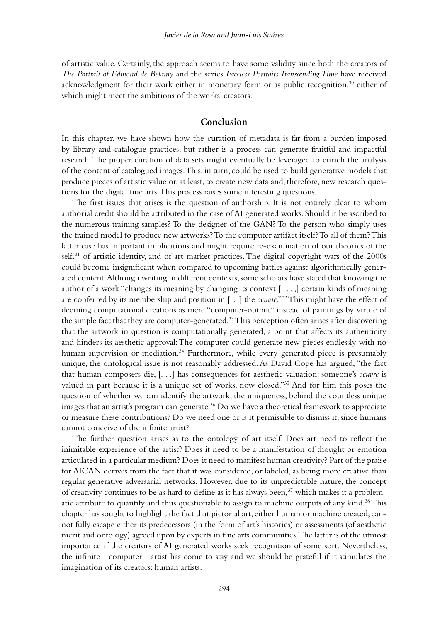of artistic value. Certainly, the approach seems to have some validity since both the creators of *The Portrait of Edmond de Belamy* and the series *Faceless Portraits Transcending Time* have received acknowledgment for their work either in monetary form or as public recognition,<sup>30</sup> either of which might meet the ambitions of the works' creators.

### **Conclusion**

In this chapter, we have shown how the curation of metadata is far from a burden imposed by library and catalogue practices, but rather is a process can generate fruitful and impactful research. The proper curation of data sets might eventually be leveraged to enrich the analysis of the content of catalogued images. This, in turn, could be used to build generative models that produce pieces of artistic value or, at least, to create new data and, therefore, new research questions for the digital fine arts. This process raises some interesting questions.

The first issues that arises is the question of authorship. It is not entirely clear to whom authorial credit should be attributed in the case of AI generated works. Should it be ascribed to the numerous training samples? To the designer of the GAN? To the person who simply uses the trained model to produce new artworks? To the computer artifact itself? To all of them? This latter case has important implications and might require re-examination of our theories of the  $self<sup>31</sup>$  of artistic identity, and of art market practices. The digital copyright wars of the 2000s could become insignificant when compared to upcoming battles against algorithmically generated content. Although writing in different contexts, some scholars have stated that knowing the author of a work "changes its meaning by changing its context [ . . . ,] certain kinds of meaning are conferred by its membership and position in [. . .] the *oeuvre*."32 This might have the effect of deeming computational creations as mere "computer-output" instead of paintings by virtue of the simple fact that they are computer-generated.<sup>33</sup>This perception often arises after discovering that the artwork in question is computationally generated, a point that affects its authenticity and hinders its aesthetic approval: The computer could generate new pieces endlessly with no human supervision or mediation.<sup>34</sup> Furthermore, while every generated piece is presumably unique, the ontological issue is not reasonably addressed. As David Cope has argued, "the fact that human composers die, [. . .] has consequences for aesthetic valuation: someone's *oeuvre* is valued in part because it is a unique set of works, now closed."35 And for him this poses the question of whether we can identify the artwork, the uniqueness, behind the countless unique images that an artist's program can generate.<sup>36</sup> Do we have a theoretical framework to appreciate or measure these contributions? Do we need one or is it permissible to dismiss it, since humans cannot conceive of the infinite artist?

The further question arises as to the ontology of art itself. Does art need to reflect the inimitable experience of the artist? Does it need to be a manifestation of thought or emotion articulated in a particular medium? Does it need to manifest human creativity? Part of the praise for AICAN derives from the fact that it was considered, or labeled, as being more creative than regular generative adversarial networks. However, due to its unpredictable nature, the concept of creativity continues to be as hard to define as it has always been, $37$  which makes it a problematic attribute to quantify and thus questionable to assign to machine outputs of any kind.<sup>38</sup> This chapter has sought to highlight the fact that pictorial art, either human or machine created, cannot fully escape either its predecessors (in the form of art's histories) or assessments (of aesthetic merit and ontology) agreed upon by experts in fine arts communities. The latter is of the utmost importance if the creators of AI generated works seek recognition of some sort. Nevertheless, the infinite—computer—artist has come to stay and we should be grateful if it stimulates the imagination of its creators: human artists.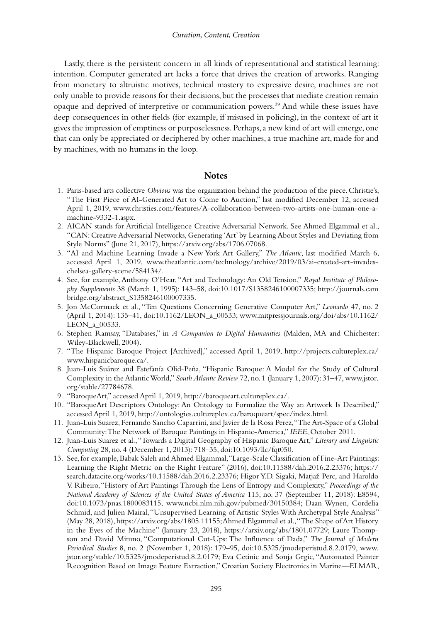Lastly, there is the persistent concern in all kinds of representational and statistical learning: intention. Computer generated art lacks a force that drives the creation of artworks. Ranging from monetary to altruistic motives, technical mastery to expressive desire, machines are not only unable to provide reasons for their decisions, but the processes that mediate creation remain opaque and deprived of interpretive or communication powers.39 And while these issues have deep consequences in other fields (for example, if misused in policing), in the context of art it gives the impression of emptiness or purposelessness. Perhaps, a new kind of art will emerge, one that can only be appreciated or deciphered by other machines, a true machine art, made for and by machines, with no humans in the loop.

#### **Notes**

- 1. Paris-based arts collective *Obvious* was the organization behind the production of the piece. Christie's, "The First Piece of AI-Generated Art to Come to Auction," last modified December 12, accessed April 1, 2019, [www.christies.com/features/A-collaboration-between-two-artists-one-human-one-a](http://www.christies.com)[machine-9332-1.aspx.](http://www.christies.com)
- 2. AICAN stands for Artificial Intelligence Creative Adversarial Network. See Ahmed Elgammal et al., "CAN: Creative Adversarial Networks, Generating 'Art' by Learning About Styles and Deviating from Style Norms" (June 21, 2017), [https://arxiv.org/abs/1706.07068](https://arxiv.org).
- 3. "AI and Machine Learning Invade a New York Art Gallery," *The Atlantic*, last modified March 6, accessed April 1, 2019, [www.theatlantic.com/technology/archive/2019/03/ai-created-art-invades](http://www.theatlantic.com)[chelsea-gallery-scene/584134/](http://www.theatlantic.com).
- 4. See, for example, Anthony O'Hear, "Art and Technology: An Old Tension," *Royal Institute of Philosophy Supplements* 38 (March 1, 1995): 143–58, doi:10.1017/S1358246100007335; [http://journals.cam](http://journals.cambridge.org) [bridge.org/abstract\\_S1358246100007335.](http://journals.cambridge.org)
- 5. Jon McCormack et al., "Ten Questions Concerning Generative Computer Art," *Leonardo* 47, no. 2 (April 1, 2014): 135–41, doi:10.1162/LEON\_a\_00533; [www.mitpressjournals.org/doi/abs/10.1162/](http://www.mitpressjournals.org) [LEON\\_a\\_00533.](http://www.mitpressjournals.org)
- 6. Stephen Ramsay, "Databases," in *A Companion to Digital Humanities* (Malden, MA and Chichester: Wiley-Blackwell, 2004).
- 7. "The Hispanic Baroque Project [Archived]," accessed April 1, 2019, [http://projects.cultureplex.ca/](http://projects.cultureplex.ca) [www.hispanicbaroque.ca/.](http://projects.cultureplex.ca)
- 8. Juan-Luis Suárez and Estefanía Olid-Peña, "Hispanic Baroque: A Model for the Study of Cultural Complexity in the Atlantic World," *South Atlantic Review* 72, no. 1 (January 1, 2007): 31–47, [www.jstor.](http://www.jstor.org) [org/stable/27784678.](http://www.jstor.org)
- 9. "BaroqueArt," accessed April 1, 2019, [http://baroqueart.cultureplex.ca/.](http://baroqueart.cultureplex.ca)
- 10. "BaroqueArt Descriptors Ontology: An Ontology to Formalize the Way an Artwork Is Described," accessed April 1, 2019, [http://ontologies.cultureplex.ca/baroqueart/spec/index.html](http://ontologies.cultureplex.ca).
- 11. Juan-Luis Suarez, Fernando Sancho Caparrini, and Javier de la Rosa Perez, "The Art-Space of a Global Community: The Network of Baroque Paintings in Hispanic-America," *IEEE*, October 2011.
- 12. Juan-Luis Suarez et al., "Towards a Digital Geography of Hispanic Baroque Art," *Literary and Linguistic Computing* 28, no. 4 (December 1, 2013): 718–35, doi:10.1093/llc/fqt050.
- 13. See, for example, Babak Saleh and Ahmed Elgammal, "Large-Scale Classification of Fine-Art Paintings: Learning the Right Metric on the Right Feature" (2016), doi:10.11588/dah.2016.2.23376; [https://](https://search.datacite.org) [search.datacite.org/works/10.11588/dah.2016.2.23376](https://search.datacite.org); Higor Y.D. Sigaki, Matjaž Perc, and Haroldo V. Ribeiro, "History of Art Paintings Through the Lens of Entropy and Complexity," *Proceedings of the National Academy of Sciences of the United States of America* 115, no. 37 (September 11, 2018): E8594, doi:10.1073/pnas.1800083115, [www.ncbi.nlm.nih.gov/pubmed/30150384;](http://www.ncbi.nlm.nih.gov) Daan Wynen, Cordelia Schmid, and Julien Mairal, "Unsupervised Learning of Artistic Styles With Archetypal Style Analysis" (May 28, 2018), [https://arxiv.org/abs/1805.11155;](https://arxiv.org) Ahmed Elgammal et al., "The Shape of Art History in the Eyes of the Machine" (January 23, 2018), [https://arxiv.org/abs/1801.07729;](https://arxiv.org) Laure Thompson and David Mimno, "Computational Cut-Ups: The Influence of Dada," *The Journal of Modern Periodical Studies* 8, no. 2 (November 1, 2018): 179–95, doi:10.5325/jmodeperistud.8.2.0179, [www.](http://www.jstor.org) [jstor.org/stable/10.5325/jmodeperistud.8.2.0179;](http://www.jstor.org) Eva Cetinic and Sonja Grgic, "Automated Painter Recognition Based on Image Feature Extraction," Croatian Society Electronics in Marine—ELMAR,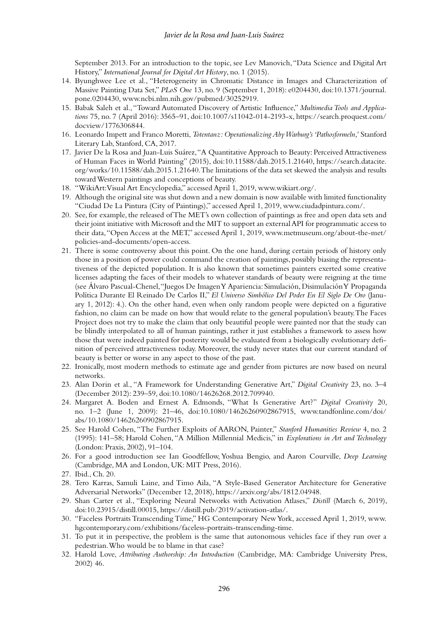September 2013. For an introduction to the topic, see Lev Manovich, "Data Science and Digital Art History," *International Journal for Digital Art History*, no. 1 (2015).

- 14. Byunghwee Lee et al., "Heterogeneity in Chromatic Distance in Images and Characterization of Massive Painting Data Set," *PLoS One* 13, no. 9 (September 1, 2018): e0204430, doi:10.1371/journal. pone.0204430, [www.ncbi.nlm.nih.gov/pubmed/30252919.](http://www.ncbi.nlm.nih.gov)
- 15. Babak Saleh et al., "Toward Automated Discovery of Artistic Influence," *Multimedia Tools and Applications* 75, no. 7 (April 2016): 3565–91, doi:10.1007/s11042-014-2193-x, [https://search.proquest.com/](https://search.proquest.com) [docview/1776306844.](https://search.proquest.com)
- 16. Leonardo Impett and Franco Moretti, *Totentanz: Operationalizing Aby Warburg's 'Pathosformeln,'* Stanford Literary Lab, Stanford, CA, 2017.
- 17. Javier De la Rosa and Juan-Luis Suárez, "A Quantitative Approach to Beauty: Perceived Attractiveness of Human Faces in World Painting" (2015), doi:10.11588/dah.2015.1.21640, [https://search.datacite.](https://search.datacite.org) [org/works/10.11588/dah.2015.1.21640](https://search.datacite.org). The limitations of the data set skewed the analysis and results toward Western paintings and conceptions of beauty.
- 18. "WikiArt: Visual Art Encyclopedia," accessed April 1, 2019, [www.wikiart.org/](http://www.wikiart.org).
- 19. Although the original site was shut down and a new domain is now available with limited functionality "Ciudad De La Pintura (City of Paintings)," accessed April 1, 2019, [www.ciudadpintura.com/.](http://www.ciudadpintura.com)
- 20. See, for example, the released of The MET's own collection of paintings as free and open data sets and their joint initiative with Microsoft and the MIT to support an external API for programmatic access to their data, "Open Access at the MET," accessed April 1, 2019, [www.metmuseum.org/about-the-met/](http://www.metmuseum.org) [policies-and-documents/open-access.](http://www.metmuseum.org)
- 21. There is some controversy about this point. On the one hand, during certain periods of history only those in a position of power could command the creation of paintings, possibly biasing the representativeness of the depicted population. It is also known that sometimes painters exerted some creative licenses adapting the faces of their models to whatever standards of beauty were reigning at the time (see Álvaro Pascual-Chenel, "Juegos De Imagen Y Apariencia: Simulación, Disimulación Y Propaganda Política Durante El Reinado De Carlos II," *El Universo Simbólico Del Poder En El Siglo De Oro* (January 1, 2012): 4.). On the other hand, even when only random people were depicted on a figurative fashion, no claim can be made on how that would relate to the general population's beauty. The Faces Project does not try to make the claim that only beautiful people were painted nor that the study can be blindly interpolated to all of human paintings, rather it just establishes a framework to assess how those that were indeed painted for posterity would be evaluated from a biologically evolutionary definition of perceived attractiveness today. Moreover, the study never states that our current standard of beauty is better or worse in any aspect to those of the past.
- 22. Ironically, most modern methods to estimate age and gender from pictures are now based on neural networks.
- 23. Alan Dorin et al., "A Framework for Understanding Generative Art," *Digital Creativity* 23, no. 3–4 (December 2012): 239–59, doi:10.1080/14626268.2012.709940.
- 24. Margaret A. Boden and Ernest A. Edmonds, "What Is Generative Art?" *Digital Creativity* 20, no. 1–2 (June 1, 2009): 21–46, doi:10.1080/14626260902867915, [www.tandfonline.com/doi/](http://www.tandfonline.com) [abs/10.1080/14626260902867915](http://www.tandfonline.com).
- 25. See Harold Cohen, "The Further Exploits of AARON, Painter," *Stanford Humanities Review* 4, no. 2 (1995): 141–58; Harold Cohen, "A Million Millennial Medicis," in *Explorations in Art and Technology* (London: Praxis, 2002), 91–104.
- 26. For a good introduction see Ian Goodfellow, Yoshua Bengio, and Aaron Courville, *Deep Learning* (Cambridge, MA and London, UK: MIT Press, 2016).
- 27. Ibid., Ch. 20.
- 28. Tero Karras, Samuli Laine, and Timo Aila, "A Style-Based Generator Architecture for Generative Adversarial Networks" (December 12, 2018), [https://arxiv.org/abs/1812.04948.](https://arxiv.org)
- 29. Shan Carter et al., "Exploring Neural Networks with Activation Atlases," *Distill* (March 6, 2019), doi:10.23915/distill.00015, [https://distill.pub/2019/activation-atlas/](https://distill.pub).
- 30. "Faceless Portraits Transcending Time," HG Contemporary New York, accessed April 1, 2019, [www.](http://www.hgcontemporary.com) [hgcontemporary.com/exhibitions/faceless-portraits-transcending-time](http://www.hgcontemporary.com).
- 31. To put it in perspective, the problem is the same that autonomous vehicles face if they run over a pedestrian. Who would be to blame in that case?
- 32. Harold Love, *Attributing Authorship: An Introduction* (Cambridge, MA: Cambridge University Press, 2002) 46.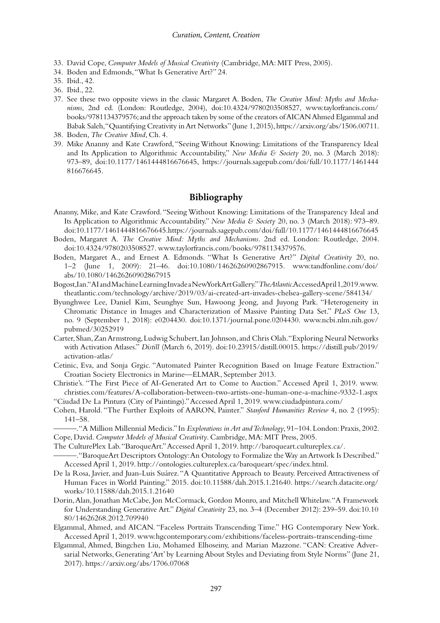- 33. David Cope, *Computer Models of Musical Creativity* (Cambridge, MA: MIT Press, 2005).
- 34. Boden and Edmonds, "What Is Generative Art?" 24.
- 35. Ibid., 42.
- 36. Ibid., 22.
- 37. See these two opposite views in the classic Margaret A. Boden, *The Creative Mind: Myths and Mechanisms*, 2nd ed. (London: Routledge, 2004), doi:10.4324/9780203508527, [www.taylorfrancis.com/](http://www.taylorfrancis.com) [books/9781134379576](http://www.taylorfrancis.com); and the approach taken by some of the creators of AICAN Ahmed Elgammal and Babak Saleh, "Quantifying Creativity in Art Networks" (June 1, 2015), [https://arxiv.org/abs/1506.00711.](https://arxiv.org)
- 38. Boden, *The Creative Mind*, Ch. 4.
- 39. Mike Ananny and Kate Crawford, "Seeing Without Knowing: Limitations of the Transparency Ideal and Its Application to Algorithmic Accountability," *New Media & Society* 20, no. 3 (March 2018): 973–89, doi:10.1177/1461444816676645, [https://journals.sagepub.com/doi/full/10.1177/1461444](https://journals.sagepub.com) [816676645.](https://journals.sagepub.com)

#### **Bibliography**

- Ananny, Mike, and Kate Crawford. "Seeing Without Knowing: Limitations of the Transparency Ideal and Its Application to Algorithmic Accountability." *New Media & Society* 20, no. 3 (March 2018): 973–89. doi:10.1177/1461444816676645[. https://journals.sagepub.com/doi/full/10.1177/1461444816676645](https://journals.sagepub.com)
- Boden, Margaret A. *The Creative Mind: Myths and Mechanisms*. 2nd ed. London: Routledge, 2004. doi:10.4324/9780203508527. [www.taylorfrancis.com/books/9781134379576.](http://www.taylorfrancis.com)
- Boden, Margaret A., and Ernest A. Edmonds. "What Is Generative Art?" *Digital Creativity* 20, no. 1–2 (June 1, 2009): 21–46. doi:10.1080/14626260902867915. [www.tandfonline.com/doi/](http://www.tandfonline.com) [abs/10.1080/14626260902867915](http://www.tandfonline.com)
- Bogost, Ian. "AI and Machine Learning Invade a New York Art Gallery." *The Atlantic*. Accessed April1, 2019. [www.](http://www.theatlantic.com) [theatlantic.com/technology/archive/2019/03/ai-created-art-invades-chelsea-gallery-scene/584134/](http://www.theatlantic.com)
- Byunghwee Lee, Daniel Kim, Seunghye Sun, Hawoong Jeong, and Juyong Park. "Heterogeneity in Chromatic Distance in Images and Characterization of Massive Painting Data Set." *PLoS One* 13, no. 9 (September 1, 2018): e0204430. doi:10.1371/journal.pone.0204430. [www.ncbi.nlm.nih.gov/](http://www.ncbi.nlm.nih.gov) [pubmed/30252919](http://www.ncbi.nlm.nih.gov)
- Carter, Shan, Zan Armstrong, Ludwig Schubert, Ian Johnson, and Chris Olah. "Exploring Neural Networks with Activation Atlases." *Distill* (March 6, 2019). doi:10.23915/distill.00015. [https://distill.pub/2019/](https://distill.pub) [activation-atlas/](https://distill.pub)
- Cetinic, Eva, and Sonja Grgic. "Automated Painter Recognition Based on Image Feature Extraction." Croatian Society Electronics in Marine—ELMAR, September 2013.
- Christie's. "The First Piece of AI-Generated Art to Come to Auction." Accessed April 1, 2019. [www.](http://www.christies.com) [christies.com/features/A-collaboration-between-two-artists-one-human-one-a-machine-9332-1.aspx](http://www.christies.com)

"Ciudad De La Pintura (City of Paintings)." Accessed April 1, 2019. [www.ciudadpintura.com/](http://www.ciudadpintura.com)

Cohen, Harold. "The Further Exploits of AARON, Painter." *Stanford Humanities Review* 4, no. 2 (1995): 141–58.

———. "A Million Millennial Medicis." In *Explorations in Art and Technology*, 91–104. London: Praxis, 2002. Cope, David. *Computer Models of Musical Creativity*. Cambridge, MA: MIT Press, 2005.

The CulturePlex Lab. "BaroqueArt." Accessed April 1, 2019. [http://baroqueart.cultureplex.ca/.](http://baroqueart.cultureplex.ca)

———. "BaroqueArt Descriptors Ontology: An Ontology to Formalize the Way an Artwork Is Described." Accessed April 1, 2019. [http://ontologies.cultureplex.ca/baroqueart/spec/index.html.](http://ontologies.cultureplex.ca)

- De la Rosa, Javier, and Juan-Luis Suárez. "A Quantitative Approach to Beauty. Perceived Attractiveness of Human Faces in World Painting." 2015. doi:10.11588/dah.2015.1.21640. [https://search.datacite.org/](https://search.datacite.org) [works/10.11588/dah.2015.1.21640](https://search.datacite.org)
- Dorin, Alan, Jonathan McCabe, Jon McCormack, Gordon Monro, and Mitchell Whitelaw. "A Framework for Understanding Generative Art." *Digital Creativity* 23, no. 3–4 (December 2012): 239–59. doi:10.10 80/14626268.2012.709940
- Elgammal, Ahmed, and AICAN. "Faceless Portraits Transcending Time." HG Contemporary New York. Accessed April 1, 2019. [www.hgcontemporary.com/exhibitions/faceless-portraits-transcending-time](http://www.hgcontemporary.com)
- Elgammal, Ahmed, Bingchen Liu, Mohamed Elhoseiny, and Marian Mazzone. "CAN: Creative Adversarial Networks, Generating 'Art' by Learning About Styles and Deviating from Style Norms" (June 21, 2017). [https://arxiv.org/abs/1706.07068](https://arxiv.org)